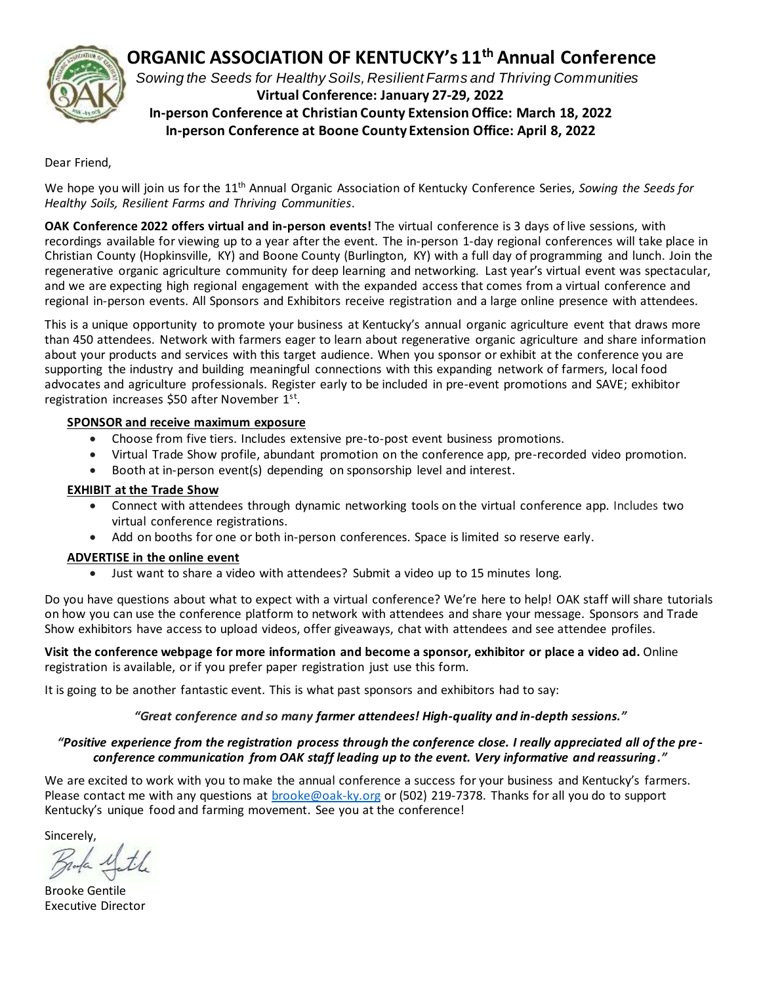

## **ORGANIC ASSOCIATION OF KENTUCKY's 11 th Annual Conference**

 *Sowing the Seeds for Healthy Soils, Resilient Farms and Thriving Communities* **Virtual Conference: January 27-29, 2022 In-person Conference at Christian County Extension Office: March 18, 2022 In-person Conference at Boone County Extension Office: April 8, 2022**

#### Dear Friend,

We hope you will join us for the 11<sup>th</sup> Annual Organic Association of Kentucky Conference Series, Sowing the Seeds for *Healthy Soils, Resilient Farms and Thriving Communities*.

**OAK Conference 2022 offers virtual and in-person events!** The virtual conference is 3 days of live sessions, with recordings available for viewing up to a year after the event. The in-person 1-day regional conferences will take place in Christian County (Hopkinsville, KY) and Boone County (Burlington, KY) with a full day of programming and lunch. Join the regenerative organic agriculture community for deep learning and networking. Last year's virtual event was spectacular, and we are expecting high regional engagement with the expanded access that comes from a virtual conference and regional in-person events. All Sponsors and Exhibitors receive registration and a large online presence with attendees.

This is a unique opportunity to promote your business at Kentucky's annual organic agriculture event that draws more than 450 attendees. Network with farmers eager to learn about regenerative organic agriculture and share information about your products and services with this target audience. When you sponsor or exhibit at the conference you are supporting the industry and building meaningful connections with this expanding network of farmers, local food advocates and agriculture professionals. Register early to be included in pre-event promotions and SAVE; exhibitor registration increases \$50 after November 1<sup>st</sup>.

#### **SPONSOR and receive maximum exposure**

- Choose from five tiers. Includes extensive pre-to-post event business promotions.
- Virtual Trade Show profile, abundant promotion on the conference app, pre-recorded video promotion.
- Booth at in-person event(s) depending on sponsorship level and interest.

#### **EXHIBIT at the Trade Show**

- Connect with attendees through dynamic networking tools on the virtual conference app. Includes two virtual conference registrations.
- Add on booths for one or both in-person conferences. Space is limited so reserve early.

#### **ADVERTISE in the online event**

• Just want to share a video with attendees? Submit a video up to 15 minutes long.

Do you have questions about what to expect with a virtual conference? We're here to help! OAK staff will share tutorials on how you can use the conference platform to network with attendees and share your message. Sponsors and Trade Show exhibitors have access to upload videos, offer giveaways, chat with attendees and see attendee profiles.

**Visit the conference webpage for more information and become a [sponsor,](https://www.oak-ky.org/sponsor-information) [exhibitor](https://www.oak-ky.org/exhibitor-information) or place a [video ad.](https://www.oak-ky.org/advertising-registration)** Online registration is available, or if you prefer paper registration just use this form.

It is going to be another fantastic event. This is what past sponsors and exhibitors had to say:

### *"Great conference and so many farmer attendees! High-quality and in-depth sessions."*

#### *"Positive experience from the registration process through the conference close. I really appreciated all of the preconference communication from OAK staff leading up to the event. Very informative and reassuring."*

We are excited to work with you to make the annual conference a success for your business and Kentucky's farmers. Please contact me with any questions at [brooke@oak-ky.org](mailto:brooke@oak-ky.org) or (502) 219-7378. Thanks for all you do to support Kentucky's unique food and farming movement. See you at the conference!

Sincerely,

Brooke Gentile Executive Director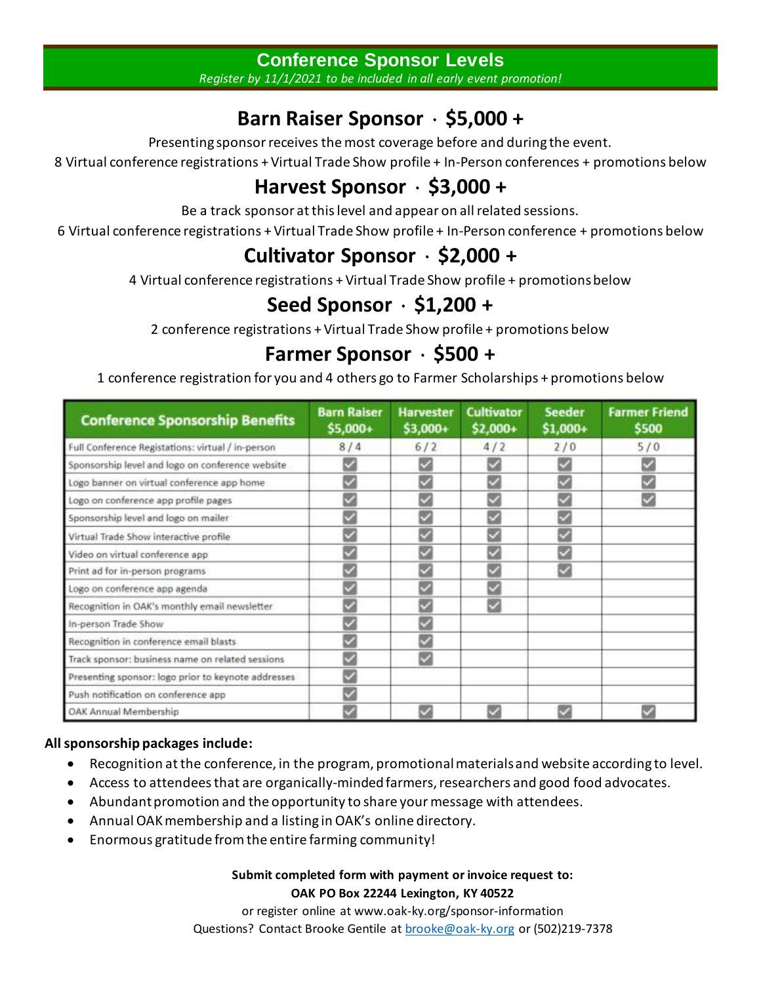## **Conference Sponsor Levels**

*Register by 11/1/2021 to be included in all early event promotion!*

# **Barn Raiser Sponsor** ۰ **\$5,000 +**

Presenting sponsor receives the most coverage before and during the event.

8 Virtual conference registrations + Virtual Trade Show profile + In-Person conferences + promotions below

# **Harvest Sponsor** ۰ **\$3,000 +**

Be a track sponsor at this level and appear on all related sessions.

6 Virtual conference registrations + Virtual Trade Show profile + In-Person conference + promotions below

# **Cultivator Sponsor** ۰ **\$2,000 +**

4 Virtual conference registrations + Virtual Trade Show profile + promotions below

# **Seed Sponsor** ۰ **\$1,200 +**

2 conference registrations + Virtual Trade Show profile + promotions below

# **Farmer Sponsor** ۰ **\$500 +**

1 conference registration for you and 4 others go to Farmer Scholarships + promotions below

| <b>Conference Sponsorship Benefits</b>              | <b>Barn Raiser</b><br>\$5,000+ | <b>Harvester</b><br>\$3,000+ | <b>Cultivator</b><br>$$2,000+$ | <b>Seeder</b><br>\$1,000+ | <b>Farmer Friend</b><br>\$500 |
|-----------------------------------------------------|--------------------------------|------------------------------|--------------------------------|---------------------------|-------------------------------|
| Full Conference Registations: virtual / in-person   | 8/4                            | 6/2                          | 4/2                            | 2/0                       | 5/0                           |
| Sponsorship level and logo on conference website    |                                |                              |                                |                           |                               |
| Logo banner on virtual conference app home          |                                | ✓                            | ✓                              |                           |                               |
| Logo on conference app profile pages                |                                | V                            |                                |                           |                               |
| Sponsorship level and logo on mailer                |                                | $\checkmark$                 | v                              |                           |                               |
| Virtual Trade Show interactive profile              |                                | $\checkmark$                 | V                              |                           |                               |
| Video on virtual conference app                     | $\checkmark$                   | V                            | V                              |                           |                               |
| Print ad for in-person programs                     | ᢦ                              |                              | V                              |                           |                               |
| Logo on conference app agenda                       | ✓                              | V                            | ✓                              |                           |                               |
| Recognition in OAK's monthly email newsletter       | $\blacktriangleright$          |                              | ◡                              |                           |                               |
| In-person Trade Show                                | ✓                              |                              |                                |                           |                               |
| Recognition in conference email blasts              | $\checkmark$                   | ✓                            |                                |                           |                               |
| Track sponsor: business name on related sessions    |                                | ✓                            |                                |                           |                               |
| Presenting sponsor: logo prior to keynote addresses | $\overline{\mathbf{v}}$        |                              |                                |                           |                               |
| Push notification on conference app                 |                                |                              |                                |                           |                               |
| OAK Annual Membership                               |                                |                              |                                |                           |                               |

### **All sponsorship packages include:**

- Recognition at the conference, in the program, promotional materials and website according to level.
- Access to attendees that are organically-minded farmers, researchers and good food advocates.
- Abundant promotion and the opportunity to share your message with attendees.
- Annual OAK membership and a listing in OAK's online directory.
- Enormous gratitude from the entire farming community!

### **Submit completed form with payment or invoice request to: OAK PO Box 22244 Lexington, KY 40522**

or register online at www.oak-ky.org/sponsor-information Questions? Contact Brooke Gentile at **[brooke@oak-ky.org](mailto:brooke@oak-ky.org)** or (502)219-7378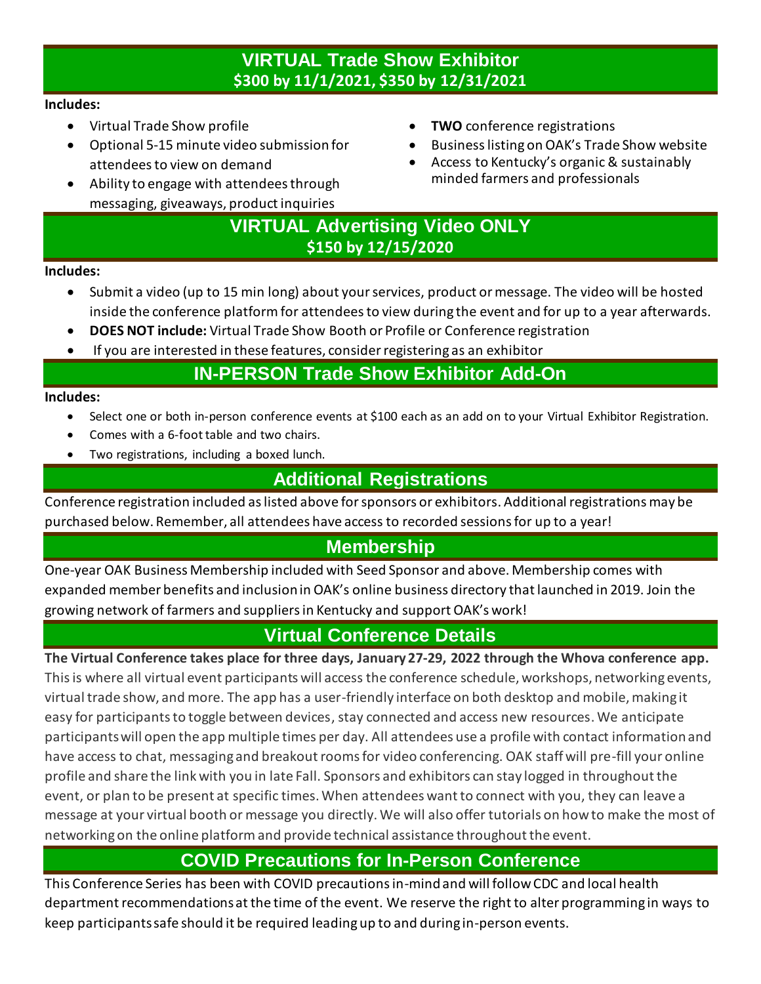## **VIRTUAL Trade Show Exhibitor \$300 by 11/1/2021, \$350 by 12/31/2021**

### **Includes:**

- Virtual Trade Show profile
- Optional 5-15 minute video submission for attendeesto view on demand
- Ability to engage with attendees through messaging, giveaways, product inquiries
- **TWO** conference registrations
- Businesslisting on OAK's Trade Show website
- Access to Kentucky's organic & sustainably minded farmers and professionals

## **VIRTUAL Advertising Video ONLY \$150 by 12/15/2020**

### **Includes:**

- Submit a video (up to 15 min long) about your services, product or message. The video will be hosted inside the conference platform for attendeesto view during the event and for up to a year afterwards.
- **DOES NOT include:** Virtual Trade Show Booth or Profile or Conference registration
- If you are interested in these features, consider registering as an exhibitor

## **IN-PERSON Trade Show Exhibitor Add-On**

### **Includes:**

- Select one or both in-person conference events at \$100 each as an add on to your Virtual Exhibitor Registration.
- Comes with a 6-foot table and two chairs.
- Two registrations, including a boxed lunch.

## **Additional Registrations**

Conference registration included as listed above for sponsors or exhibitors. Additional registrations may be purchased below. Remember, all attendees have access to recorded sessions for up to a year!

## **Membership**

One-year OAK Business Membership included with Seed Sponsor and above. Membership comes with expanded member benefits and inclusion in OAK's online business directory that launched in 2019. Join the growing network of farmers and suppliers in Kentucky and support OAK's work!

## **Virtual Conference Details**

**The Virtual Conference takes place for three days, January 27-29, 2022 through the Whova conference app.** Thisis where all virtual event participants will access the conference schedule, workshops, networking events, virtual trade show, and more. The app has a user-friendly interface on both desktop and mobile, making it easy for participants to toggle between devices, stay connected and access new resources. We anticipate participants will open the app multiple times per day. All attendees use a profile with contact information and have access to chat, messaging and breakout rooms for video conferencing. OAK staff will pre-fill your online profile and share the link with you in late Fall. Sponsors and exhibitors can stay logged in throughout the event, or plan to be present at specific times. When attendees want to connect with you, they can leave a message at your virtual booth or message you directly. We will also offer tutorials on how to make the most of networking on the online platform and provide technical assistance throughout the event.

## **COVID Precautions for In-Person Conference**

This Conference Series has been with COVID precautions in-mind and will follow CDC and local health department recommendations at the time of the event. We reserve the right to alter programming in ways to keep participants safe should it be required leading up to and during in-person events.